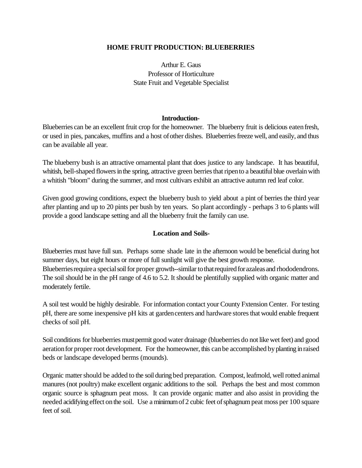## **HOME FRUIT PRODUCTION: BLUEBERRIES**

Arthur E. Gaus Professor of Horticulture State Fruit and Vegetable Specialist

#### **Introduction-**

Blueberries can be an excellent fruit crop for the homeowner. The blueberry fruit is delicious eatenfresh, or used in pies, pancakes, muffins and a host ofother dishes. Blueberries freeze well, and easily, and thus can be available all year.

The blueberry bush is an attractive ornamental plant that does justice to any landscape. It has beautiful, whitish, bell-shaped flowers in the spring, attractive green berries that ripen to a beautiful blue overlain with a whitish "bloom" during the summer, and most cultivars exhibit an attractive autumn red leaf color.

Given good growing conditions, expect the blueberry bush to yield about a pint of berries the third year after planting and up to 20 pints per bush by ten years. So plant accordingly - perhaps 3 to 6 plants will provide a good landscape setting and all the blueberry fruit the family can use.

### **Location and Soils-**

Blueberries must have full sun. Perhaps some shade late in the afternoon would be beneficial during hot summer days, but eight hours or more of full sunlight will give the best growth response. Blueberries require a special soil for proper growth--similar to that required for azaleas and rhododendrons. The soil should be in the pH range of 4.6 to 5.2. It should be plentifully supplied with organic matter and moderately fertile.

A soil test would be highly desirable. For information contact your County Fxtension Center. For testing pH, there are some inexpensive pH kits at gardencenters and hardware storesthat would enable frequent checks of soil pH.

Soil conditions for blueberries must permit good water drainage (blueberries do not like wet feet) and good aeration for proper root development. For the homeowner, this can be accomplished by planting in raised beds or landscape developed berms (mounds).

Organic mattershould be added to the soil during bed preparation. Compost, leafmold, well rotted animal manures (not poultry) make excellent organic additions to the soil. Perhaps the best and most common organic source is sphagnum peat moss. It can provide organic matter and also assist in providing the needed acidifying effect on the soil. Use a minimum of 2 cubic feet of sphagnum peat moss per 100 square feet of soil.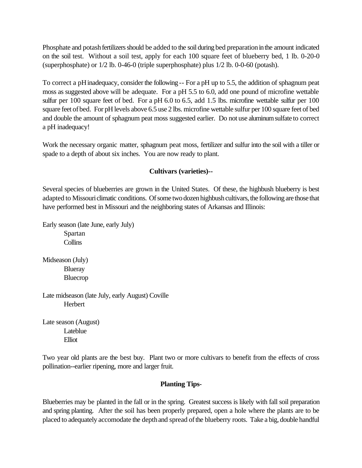Phosphate and potash fertilizers should be added to the soil during bed preparation in the amount indicated on the soil test. Without a soil test, apply for each 100 square feet of blueberry bed, 1 lb. 0-20-0 (superphosphate) or 1/2 lb. 0-46-0 (triple superphosphate) plus 1/2 lb. 0-0-60 (potash).

To correct a pH inadequacy, consider the following -- For a pH up to 5.5, the addition of sphagnum peat moss as suggested above will be adequate. For a pH 5.5 to 6.0, add one pound of microfine wettable sulfur per 100 square feet of bed. For a pH 6.0 to 6.5, add 1.5 lbs. microfine wettable sulfur per 100 square feet of bed. For pH levels above 6.5 use 2 lbs. microfine wettable sulfur per 100 square feet of bed and double the amount of sphagnum peat moss suggested earlier. Do not use aluminumsulfate to correct a pH inadequacy!

Work the necessary organic matter, sphagnum peat moss, fertilizer and sulfur into the soil with a tiller or spade to a depth of about six inches. You are now ready to plant.

# **Cultivars (varieties)--**

Several species of blueberries are grown in the United States. Of these, the highbush blueberry is best adapted to Missouri climatic conditions. Of some two dozen highbush cultivars, the following are those that have performed best in Missouri and the neighboring states of Arkansas and Illinois:

Early season (late June, early July) Spartan **Collins** 

Midseason (July) Blueray Bluecrop

Late midseason (late July, early August) Coville **Herbert** 

Late season (August) Lateblue Elliot

Two year old plants are the best buy. Plant two or more cultivars to benefit from the effects of cross pollination--earlier ripening, more and larger fruit.

# **Planting Tips-**

Blueberries may be planted in the fall or in the spring. Greatest success is likely with fall soil preparation and spring planting. After the soil has been properly prepared, open a hole where the plants are to be placed to adequately accomodate the depth and spread of the blueberry roots. Take a big, double handful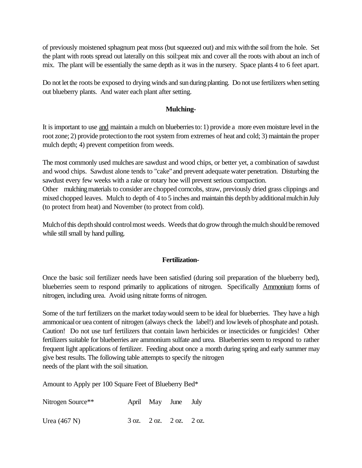of previously moistened sphagnum peat moss (but squeezed out) and mix withthe soilfrom the hole. Set the plant with roots spread out laterally on this soil:peat mix and cover all the roots with about an inch of mix. The plant will be essentially the same depth as it was in the nursery. Space plants 4 to 6 feet apart.

Do not let the roots be exposed to drying winds and sun during planting. Do not use fertilizers when setting out blueberry plants. And water each plant after setting.

### **Mulching-**

It is important to use and maintain a mulch on blueberriesto:1) provide a more even moisture level in the root zone; 2) provide protectionto the root system from extremes of heat and cold; 3) maintain the proper mulch depth; 4) prevent competition from weeds.

The most commonly used mulches are sawdust and wood chips, or better yet, a combination of sawdust and wood chips. Sawdust alone tends to "cake"and prevent adequate water penetration. Disturbing the sawdust every few weeks with a rake or rotary hoe will prevent serious compaction.

Other mulchingmaterials to consider are chopped corncobs, straw, previously dried grass clippings and mixed chopped leaves. Mulch to depth of 4 to 5 inches and maintain this depth by additional mulch in July (to protect from heat) and November (to protect from cold).

Mulch of this depth should control most weeds. Weeds that do grow through the mulch should be removed while still small by hand pulling.

# **Fertilization-**

Once the basic soil fertilizer needs have been satisfied (during soil preparation of the blueberry bed), blueberries seem to respond primarily to applications of nitrogen. Specifically Ammonium forms of nitrogen, including urea. Avoid using nitrate forms of nitrogen.

Some of the turf fertilizers on the market todaywould seem to be ideal for blueberries. They have a high ammonicaalor uea content of nitrogen (always check the label!) and lowlevels ofphosphate and potash. Caution! Do not use turf fertilizers that contain lawn herbicides or insecticides or fungicides! Other fertilizers suitable for blueberries are ammonium sulfate and urea. Blueberries seem to respond to rather frequent light applications of fertilizer. Feeding about once a month during spring and early summer may give best results. The following table attempts to specify the nitrogen needs of the plant with the soil situation.

Amount to Apply per 100 Square Feet of Blueberry Bed\*

| Nitrogen Source** |  | April May June July                                             |  |
|-------------------|--|-----------------------------------------------------------------|--|
| Urea $(467 N)$    |  | $3 \text{ oz.}$ $2 \text{ oz.}$ $2 \text{ oz.}$ $2 \text{ oz.}$ |  |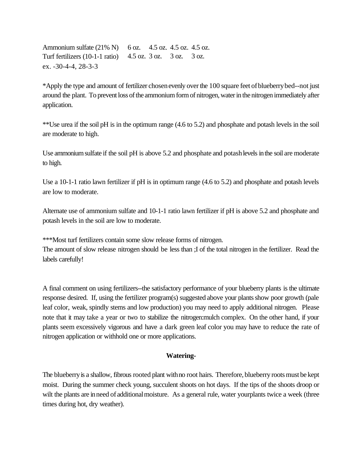Ammonium sulfate (21% N) 6 oz. 4.5 oz. 4.5 oz. 4.5 oz. Turf fertilizers (10-1-1 ratio) 4.5 oz. 3 oz. 3 oz. 3 oz. ex. -30-4-4, 28-3-3

\*Apply the type and amount of fertilizer chosenevenly overthe 100 square feet ofblueberrybed--not just around the plant. To prevent loss of the ammonium form of nitrogen, water in the nitrogen immediately after application.

\*\*Use urea if the soil pH is in the optimum range (4.6 to 5.2) and phosphate and potash levels in the soil are moderate to high.

Use ammonium sulfate if the soil pH is above 5.2 and phosphate and potash levels in the soil are moderate to high.

Use a 10-1-1 ratio lawn fertilizer if pH is in optimum range (4.6 to 5.2) and phosphate and potash levels are low to moderate.

Alternate use of ammonium sulfate and 10-1-1 ratio lawn fertilizer if pH is above 5.2 and phosphate and potash levels in the soil are low to moderate.

\*\*\*Most turf fertilizers contain some slow release forms of nitrogen.

The amount of slow release nitrogen should be less than ;I of the total nitrogen in the fertilizer. Read the labels carefully!

A final comment on using fertilizers--the satisfactory performance of your blueberry plants is the ultimate response desired. If, using the fertilizer program(s) suggested above your plantsshow poor growth (pale leaf color, weak, spindly stems and low production) you may need to apply additional nitrogen. Please note that it may take a year or two to stabilize the nitrogen:mulch complex. On the other hand, if your plants seem excessively vigorous and have a dark green leaf color you may have to reduce the rate of nitrogen application or withhold one or more applications.

# **Watering-**

The blueberry is a shallow, fibrous rooted plant with no root hairs. Therefore, blueberry roots must be kept moist. During the summer check young, succulent shoots on hot days. If the tips of the shoots droop or wilt the plants are in need of additional moisture. As a general rule, water yourplants twice a week (three times during hot, dry weather).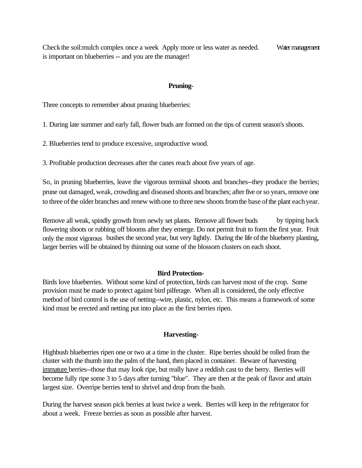Check the soil: mulch complex once a week Apply more or less water as needed. Water management is important on blueberries -- and you are the manager!

#### **Pruning-**

Three concepts to remember about pruning blueberries:

1. During late summer and early fall, flower buds are formed on the tips of current season's shoots.

2. Blueberries tend to produce excessive, unproductive wood.

3. Profitable production decreases after the canes reach about five years of age.

So, in pruning blueberries, leave the vigorous terminal shoots and branches--they produce the berries; prune out damaged, weak, crowding and diseased shoots and branches; afterfive orso years, remove one to three of the older branches and renew with one to three new shoots from the base of the plant each year.

Remove all weak, spindly growth from newly set plants. Remove all flower buds by tipping back flowering shoots or rubbing off blooms after they emerge. Do not permit fruit to form the first year. Fruit only the most vigorous bushes the second year, but very lightly. During the life ofthe blueberry planting, larger berries will be obtained by thinning out some of the blossom clusters on each shoot.

#### **Bird Protection-**

Birds love blueberries. Without some kind of protection, birds can harvest most of the crop. Some provision must be made to protect against bird pilferage. When all is considered, the only effective method of bird control is the use of netting--wire, plastic, nylon, etc. This means a framework of some kind must be erected and netting put into place as the first berries ripen.

#### **Harvesting-**

Highbush blueberries ripen one or two at a time in the cluster. Ripe berries should be rolled from the cluster with the thumb into the palm of the hand, then placed in container. Beware of harvesting immature berries--those that may look ripe, but really have a reddish cast to the berry. Berries will become fully ripe some 3 to 5 days after turning "blue". They are then at the peak of flavor and attain largest size. Overripe berries tend to shrivel and drop from the bush.

During the harvest season pick berries at least twice a week. Berries will keep in the refrigerator for about a week. Freeze berries as soon as possible after harvest.